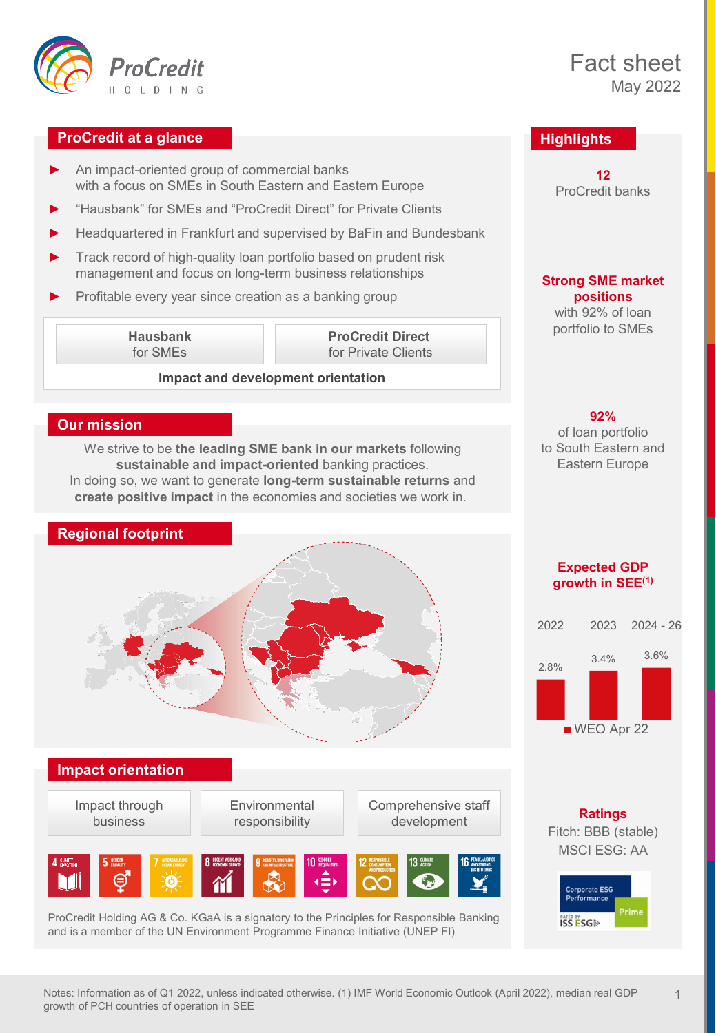

## **ProCredit at a glance**

- An impact-oriented group of commercial banks with a focus on SMEs in South Eastern and Eastern Europe
- ► "Hausbank" for SMEs and "ProCredit Direct" for Private Clients
- Headquartered in Frankfurt and supervised by BaFin and Bundesbank
- ► Track record of high-quality loan portfolio based on prudent risk management and focus on long-term business relationships
- Profitable every year since creation as a banking group

**Hausbank** for SMEs

**ProCredit Direct**  for Private Clients

#### **Impact and development orientation**

#### **Our mission**

We strive to be **the leading SME bank in our markets** following **sustainable and impact-oriented** banking practices. In doing so, we want to generate **long-term sustainable returns** and **create positive impact** in the economies and societies we work in.

# **Regional footprint**



#### **Impact orientation**

Impact through business



Comprehensive staff development



ProCredit Holding AG & Co. KGaA is a signatory to the Principles for Responsible Banking and is a member of the UN Environment Programme Finance Initiative (UNEP FI)

# **Highlights**

**12**  ProCredit banks

#### **Strong SME market positions** with 92% of loan portfolio to SMEs

**92%** 

of loan portfolio to South Eastern and Eastern Europe

#### **Expected GDP growth in SEE(1)**



**Ratings**  Fitch: BBB (stable) MSCI ESG: AA